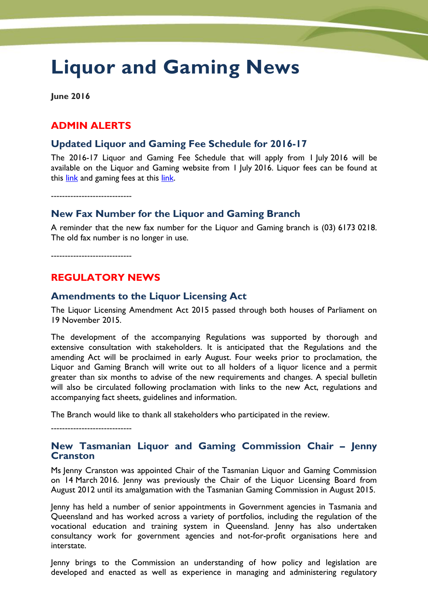# **Liquor and Gaming News**

**June 2016**

# **ADMIN ALERTS**

#### **Updated Liquor and Gaming Fee Schedule for 2016-17**

The 2016-17 Liquor and Gaming Fee Schedule that will apply from 1 July 2016 will be available on the Liquor and Gaming website from 1 July 2016. Liquor fees can be found at this [link](http://www.treasury.tas.gov.au/domino/dtf/dtf.nsf/v-liq-and-gaming/F3344C8FA9065BD7CA257D8200177240) and gaming fees at this [link.](http://www.treasury.tas.gov.au/domino/dtf/dtf.nsf/v-liq-and-gaming/509C1C2B9D5C9498CA257D820017722F)

-----------------------------

# **New Fax Number for the Liquor and Gaming Branch**

A reminder that the new fax number for the Liquor and Gaming branch is (03) 6173 0218. The old fax number is no longer in use.

-----------------------------

# **REGULATORY NEWS**

## **Amendments to the Liquor Licensing Act**

The Liquor Licensing Amendment Act 2015 passed through both houses of Parliament on 19 November 2015.

The development of the accompanying Regulations was supported by thorough and extensive consultation with stakeholders. It is anticipated that the Regulations and the amending Act will be proclaimed in early August. Four weeks prior to proclamation, the Liquor and Gaming Branch will write out to all holders of a liquor licence and a permit greater than six months to advise of the new requirements and changes. A special bulletin will also be circulated following proclamation with links to the new Act, regulations and accompanying fact sheets, guidelines and information.

The Branch would like to thank all stakeholders who participated in the review.

-----------------------------

#### **New Tasmanian Liquor and Gaming Commission Chair – Jenny Cranston**

Ms Jenny Cranston was appointed Chair of the Tasmanian Liquor and Gaming Commission on 14 March 2016. Jenny was previously the Chair of the Liquor Licensing Board from August 2012 until its amalgamation with the Tasmanian Gaming Commission in August 2015.

Jenny has held a number of senior appointments in Government agencies in Tasmania and Queensland and has worked across a variety of portfolios, including the regulation of the vocational education and training system in Queensland. Jenny has also undertaken consultancy work for government agencies and not-for-profit organisations here and interstate.

Jenny brings to the Commission an understanding of how policy and legislation are developed and enacted as well as experience in managing and administering regulatory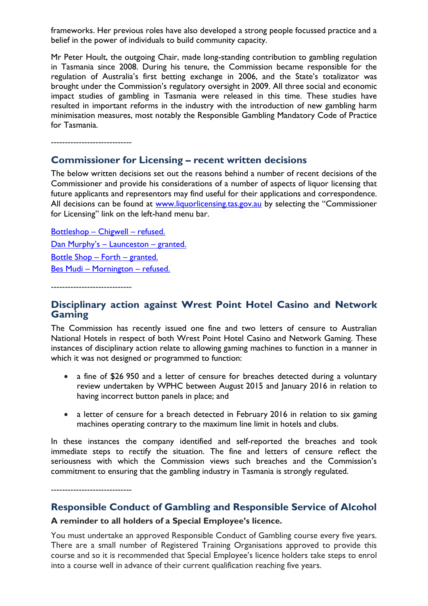frameworks. Her previous roles have also developed a strong people focussed practice and a belief in the power of individuals to build community capacity.

Mr Peter Hoult, the outgoing Chair, made long-standing contribution to gambling regulation in Tasmania since 2008. During his tenure, the Commission became responsible for the regulation of Australia's first betting exchange in 2006, and the State's totalizator was brought under the Commission's regulatory oversight in 2009. All three social and economic impact studies of gambling in Tasmania were released in this time. These studies have resulted in important reforms in the industry with the introduction of new gambling harm minimisation measures, most notably the Responsible Gambling Mandatory Code of Practice for Tasmania.

-----------------------------

#### **Commissioner for Licensing – recent written decisions**

The below written decisions set out the reasons behind a number of recent decisions of the Commissioner and provide his considerations of a number of aspects of liquor licensing that future applicants and representors may find useful for their applications and correspondence. All decisions can be found at [www.liquorlicensing.tas.gov.au](http://www.liquorlicensing.tas.gov.au/) by selecting the "Commissioner for Licensing" link on the left-hand menu bar.

[Bottleshop](http://www.treasury.tas.gov.au/domino/dtf/dtf.nsf/LookupFiles/ChigwellBottleshopRefuse.pdf/$file/ChigwellBottleshopRefuse.pdf) – Chigwell – refused. Dan Murphy's - Launceston - granted. [Bottle Shop](http://www.treasury.tas.gov.au/domino/dtf/dtf.nsf/LookupFiles/OfflicenceForthBottleshopDecisionGranted.pdf/$file/OfflicenceForthBottleshopDecisionGranted.pdf) – Forth – granted. Bes Mudi – [Mornington](http://www.treasury.tas.gov.au/domino/dtf/dtf.nsf/LookupFiles/20160401BesMudiRefuse.pdf/$file/20160401BesMudiRefuse.pdf) – refused.

-----------------------------

-----------------------------

# **Disciplinary action against Wrest Point Hotel Casino and Network Gaming**

The Commission has recently issued one fine and two letters of censure to Australian National Hotels in respect of both Wrest Point Hotel Casino and Network Gaming. These instances of disciplinary action relate to allowing gaming machines to function in a manner in which it was not designed or programmed to function:

- a fine of \$26 950 and a letter of censure for breaches detected during a voluntary review undertaken by WPHC between August 2015 and January 2016 in relation to having incorrect button panels in place; and
- a letter of censure for a breach detected in February 2016 in relation to six gaming machines operating contrary to the maximum line limit in hotels and clubs.

In these instances the company identified and self-reported the breaches and took immediate steps to rectify the situation. The fine and letters of censure reflect the seriousness with which the Commission views such breaches and the Commission's commitment to ensuring that the gambling industry in Tasmania is strongly regulated.

**Responsible Conduct of Gambling and Responsible Service of Alcohol**

#### **A reminder to all holders of a Special Employee's licence.**

You must undertake an approved Responsible Conduct of Gambling course every five years. There are a small number of Registered Training Organisations approved to provide this course and so it is recommended that Special Employee's licence holders take steps to enrol into a course well in advance of their current qualification reaching five years.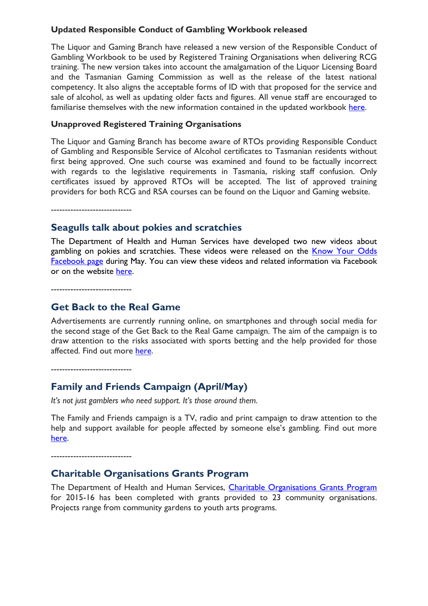#### **Updated Responsible Conduct of Gambling Workbook released**

The Liquor and Gaming Branch have released a new version of the Responsible Conduct of Gambling Workbook to be used by Registered Training Organisations when delivering RCG training. The new version takes into account the amalgamation of the Liquor Licensing Board and the Tasmanian Gaming Commission as well as the release of the latest national competency. It also aligns the acceptable forms of ID with that proposed for the service and sale of alcohol, as well as updating older facts and figures. All venue staff are encouraged to familiarise themselves with the new information contained in the updated workbook [here.](http://www.treasury.tas.gov.au/domino/dtf/dtf.nsf/LookupFiles/RCGworkbook24May2016FINAL.pdf/$file/RCGworkbook24May2016FINAL.pdf)

#### **Unapproved Registered Training Organisations**

The Liquor and Gaming Branch has become aware of RTOs providing Responsible Conduct of Gambling and Responsible Service of Alcohol certificates to Tasmanian residents without first being approved. One such course was examined and found to be factually incorrect with regards to the legislative requirements in Tasmania, risking staff confusion. Only certificates issued by approved RTOs will be accepted. The list of approved training providers for both RCG and RSA courses can be found on the Liquor and Gaming website.

-----------------------------

#### **Seagulls talk about pokies and scratchies**

The Department of Health and Human Services have developed two new videos about gambling on pokies and scratchies. These videos were released on the Know Your Odds [Facebook page](https://www.facebook.com/knowyourodds/?fref=ts) during May. You can view these videos and related information via Facebook or on the website [here.](http://knowyourodds.net.au/scratchies-and-pokies/)

-----------------------------

## **Get Back to the Real Game**

Advertisements are currently running online, on smartphones and through social media for the second stage of the Get Back to the Real Game campaign. The aim of the campaign is to draw attention to the risks associated with sports betting and the help provided for those affected. Find out more [here.](http://knowyourodds.net.au/sports-betting/)

-----------------------------

# **Family and Friends Campaign (April/May)**

*It's not just gamblers who need support. It's those around them.*

The Family and Friends campaign is a TV, radio and print campaign to draw attention to the help and support available for people affected by someone else's gambling. Find out more [here.](http://www.dhhs.tas.gov.au/gambling/current_programs_and_activities/recent_and_current_media_campaigns/family_and_friends)

-----------------------------

## **Charitable Organisations Grants Program**

The Department of Health and Human Services, [Charitable Organisations Grants Program](http://www.dhhs.tas.gov.au/gambling/grants) for 2015-16 has been completed with grants provided to 23 community organisations. Projects range from community gardens to youth arts programs.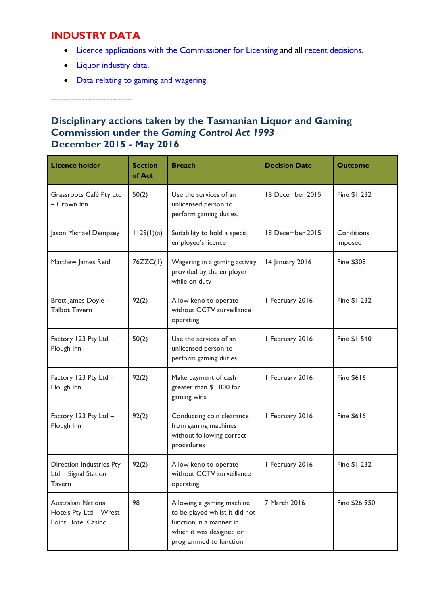# **INDUSTRY DATA**

- [Licence applications with the Commissioner for Licensing](http://www.treasury.tas.gov.au/domino/dtf/dtf.nsf/6044ee0c1cf958a2ca256f2500108bba/64502bc54966a3d6ca257ea00006dc9a?OpenDocument) and all [recent decisions.](http://www.treasury.tas.gov.au/domino/dtf/dtf.nsf/6044ee0c1cf958a2ca256f2500108bba/daf1083e7b5f4069ca257d8200177244?OpenDocument)
- [Liquor industry data.](http://www.treasury.tas.gov.au/domino/dtf/dtf.nsf/v-liq-and-gaming/E1E056468959C8E7CA257D8200177211)
- [Data relating to gaming and wagering.](http://www.treasury.tas.gov.au/domino/dtf/dtf.nsf/v-liq-and-gaming/16CC296F188AEE2CCA257D8E001F13F9)

-----------------------------

# **Disciplinary actions taken by the Tasmanian Liquor and Gaming Commission under the** *Gaming Control Act 1993* **December 2015 - May 2016**

| <b>Licence holder</b>                                               | <b>Section</b><br>of Act | <b>Breach</b>                                                                                                                                | <b>Decision Date</b> | <b>Outcome</b>        |
|---------------------------------------------------------------------|--------------------------|----------------------------------------------------------------------------------------------------------------------------------------------|----------------------|-----------------------|
| Grassroots Café Pty Ltd<br>- Crown Inn                              | 50(2)                    | Use the services of an<br>unlicensed person to<br>perform gaming duties.                                                                     | 18 December 2015     | Fine \$1 232          |
| Jason Michael Dempsey                                               | 112S(1)(a)               | Suitability to hold a special<br>employee's licence                                                                                          | 18 December 2015     | Conditions<br>imposed |
| Matthew James Reid                                                  | 76ZZC(1)                 | Wagering in a gaming activity<br>provided by the employer<br>while on duty                                                                   | 14 January 2016      | <b>Fine \$308</b>     |
| Brett James Doyle -<br><b>Talbot Tavern</b>                         | 92(2)                    | Allow keno to operate<br>without CCTV surveillance<br>operating                                                                              | I February 2016      | Fine \$1 232          |
| Factory 123 Pty Ltd -<br>Plough Inn                                 | 50(2)                    | Use the services of an<br>unlicensed person to<br>perform gaming duties                                                                      | I February 2016      | Fine \$1 540          |
| Factory 123 Pty Ltd -<br>Plough Inn                                 | 92(2)                    | Make payment of cash<br>greater than \$1 000 for<br>gaming wins                                                                              | I February 2016      | <b>Fine \$616</b>     |
| Factory 123 Pty Ltd -<br>Plough Inn                                 | 92(2)                    | Conducting coin clearance<br>from gaming machines<br>without following correct<br>procedures                                                 | I February 2016      | <b>Fine \$616</b>     |
| Direction Industries Pty<br>Ltd - Signal Station<br>Tavern          | 92(2)                    | Allow keno to operate<br>without CCTV surveillance<br>operating                                                                              | I February 2016      | Fine \$1 232          |
| Australian National<br>Hotels Pty Ltd - Wrest<br>Point Hotel Casino | 98                       | Allowing a gaming machine<br>to be played whilst it did not<br>function in a manner in<br>which it was designed or<br>programmed to function | 7 March 2016         | Fine \$26 950         |